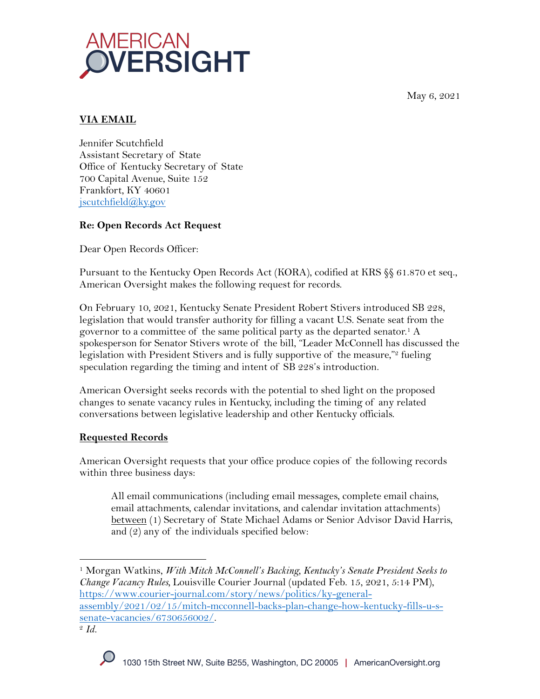May 6, 2021



# **VIA EMAIL**

Jennifer Scutchfield Assistant Secretary of State Office of Kentucky Secretary of State 700 Capital Avenue, Suite 152 Frankfort, KY 40601 jscutchfield@ky.gov

# **Re: Open Records Act Request**

Dear Open Records Officer:

Pursuant to the Kentucky Open Records Act (KORA), codified at KRS §§ 61.870 et seq., American Oversight makes the following request for records.

On February 10, 2021, Kentucky Senate President Robert Stivers introduced SB 228, legislation that would transfer authority for filling a vacant U.S. Senate seat from the governor to a committee of the same political party as the departed senator.1 A spokesperson for Senator Stivers wrote of the bill, "Leader McConnell has discussed the legislation with President Stivers and is fully supportive of the measure,"<sup>2</sup> fueling speculation regarding the timing and intent of SB 228's introduction.

American Oversight seeks records with the potential to shed light on the proposed changes to senate vacancy rules in Kentucky, including the timing of any related conversations between legislative leadership and other Kentucky officials.

## **Requested Records**

American Oversight requests that your office produce copies of the following records within three business days:

All email communications (including email messages, complete email chains, email attachments, calendar invitations, and calendar invitation attachments) between (1) Secretary of State Michael Adams or Senior Advisor David Harris, and (2) any of the individuals specified below:

senate-vacancies/6730656002/. 2 *Id.*



<sup>1</sup> Morgan Watkins, *With Mitch McConnell's Backing, Kentucky's Senate President Seeks to Change Vacancy Rules,* Louisville Courier Journal (updated Feb. 15, 2021, 5:14 PM), https://www.courier-journal.com/story/news/politics/ky-generalassembly/2021/02/15/mitch-mcconnell-backs-plan-change-how-kentucky-fills-u-s-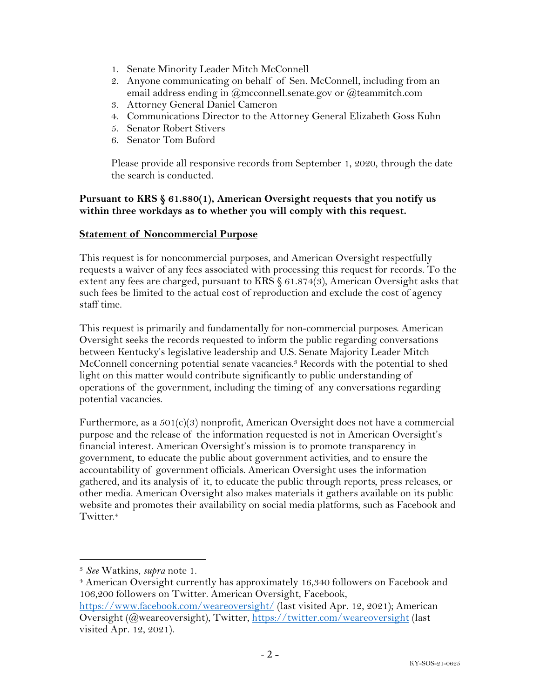- 1. Senate Minority Leader Mitch McConnell
- 2. Anyone communicating on behalf of Sen. McConnell, including from an email address ending in @mcconnell.senate.gov or @teammitch.com
- 3. Attorney General Daniel Cameron
- 4. Communications Director to the Attorney General Elizabeth Goss Kuhn
- 5. Senator Robert Stivers
- 6. Senator Tom Buford

Please provide all responsive records from September 1, 2020, through the date the search is conducted.

### **Pursuant to KRS § 61.880(1), American Oversight requests that you notify us within three workdays as to whether you will comply with this request.**

### **Statement of Noncommercial Purpose**

This request is for noncommercial purposes, and American Oversight respectfully requests a waiver of any fees associated with processing this request for records. To the extent any fees are charged, pursuant to KRS § 61.874(3), American Oversight asks that such fees be limited to the actual cost of reproduction and exclude the cost of agency staff time.

This request is primarily and fundamentally for non-commercial purposes. American Oversight seeks the records requested to inform the public regarding conversations between Kentucky's legislative leadership and U.S. Senate Majority Leader Mitch McConnell concerning potential senate vacancies.3 Records with the potential to shed light on this matter would contribute significantly to public understanding of operations of the government, including the timing of any conversations regarding potential vacancies.

Furthermore, as a 501(c)(3) nonprofit, American Oversight does not have a commercial purpose and the release of the information requested is not in American Oversight's financial interest. American Oversight's mission is to promote transparency in government, to educate the public about government activities, and to ensure the accountability of government officials. American Oversight uses the information gathered, and its analysis of it, to educate the public through reports, press releases, or other media. American Oversight also makes materials it gathers available on its public website and promotes their availability on social media platforms, such as Facebook and Twitter.4

<sup>3</sup> *See* Watkins, *supra* note 1.

<sup>&</sup>lt;sup>4</sup> American Oversight currently has approximately 16,340 followers on Facebook and 106,200 followers on Twitter. American Oversight, Facebook, https://www.facebook.com/weareoversight/ (last visited Apr. 12, 2021); American Oversight (@weareoversight), Twitter, https://twitter.com/weareoversight (last

visited Apr. 12, 2021).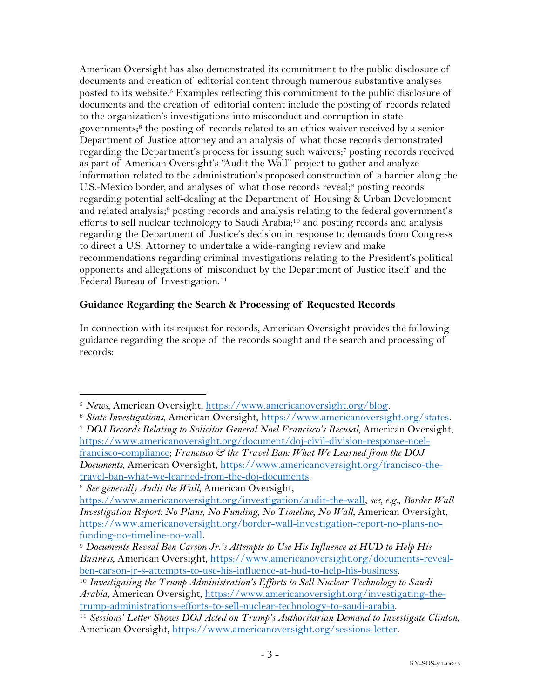American Oversight has also demonstrated its commitment to the public disclosure of documents and creation of editorial content through numerous substantive analyses posted to its website.5 Examples reflecting this commitment to the public disclosure of documents and the creation of editorial content include the posting of records related to the organization's investigations into misconduct and corruption in state governments; <sup>6</sup> the posting of records related to an ethics waiver received by a senior Department of Justice attorney and an analysis of what those records demonstrated regarding the Department's process for issuing such waivers;7 posting records received as part of American Oversight's "Audit the Wall" project to gather and analyze information related to the administration's proposed construction of a barrier along the U.S.-Mexico border, and analyses of what those records reveal;8 posting records regarding potential self-dealing at the Department of Housing & Urban Development and related analysis;<sup>9</sup> posting records and analysis relating to the federal government's efforts to sell nuclear technology to Saudi Arabia;<sup>10</sup> and posting records and analysis regarding the Department of Justice's decision in response to demands from Congress to direct a U.S. Attorney to undertake a wide-ranging review and make recommendations regarding criminal investigations relating to the President's political opponents and allegations of misconduct by the Department of Justice itself and the Federal Bureau of Investigation.<sup>11</sup>

## **Guidance Regarding the Search & Processing of Requested Records**

In connection with its request for records, American Oversight provides the following guidance regarding the scope of the records sought and the search and processing of records:

<sup>5</sup> *News*, American Oversight, https://www.americanoversight.org/blog. 6 *State Investigations*, American Oversight, https://www.americanoversight.org/states. <sup>7</sup> *DOJ Records Relating to Solicitor General Noel Francisco's Recusal*, American Oversight, https://www.americanoversight.org/document/doj-civil-division-response-noelfrancisco-compliance; *Francisco & the Travel Ban: What We Learned from the DOJ Documents*, American Oversight, https://www.americanoversight.org/francisco-thetravel-ban-what-we-learned-from-the-doj-documents.

<sup>8</sup> *See generally Audit the Wall*, American Oversight,

https://www.americanoversight.org/investigation/audit-the-wall; *see, e.g.*, *Border Wall Investigation Report: No Plans, No Funding, No Timeline, No Wall*, American Oversight, https://www.americanoversight.org/border-wall-investigation-report-no-plans-no-

funding-no-timeline-no-wall. 9 *Documents Reveal Ben Carson Jr.'s Attempts to Use His Influence at HUD to Help His Business*, American Oversight, https://www.americanoversight.org/documents-revealben-carson-jr-s-attempts-to-use-his-influence-at-hud-to-help-his-business. 10 *Investigating the Trump Administration's Efforts to Sell Nuclear Technology to Saudi* 

*Arabia*, American Oversight, https://www.americanoversight.org/investigating-thetrump-administrations-efforts-to-sell-nuclear-technology-to-saudi-arabia. 11 *Sessions' Letter Shows DOJ Acted on Trump's Authoritarian Demand to Investigate Clinton*,

American Oversight, https://www.americanoversight.org/sessions-letter.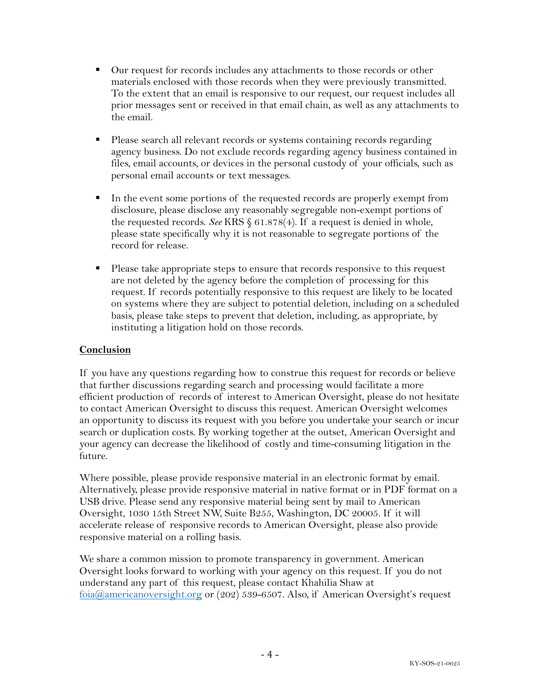- Our request for records includes any attachments to those records or other materials enclosed with those records when they were previously transmitted. To the extent that an email is responsive to our request, our request includes all prior messages sent or received in that email chain, as well as any attachments to the email.
- Please search all relevant records or systems containing records regarding agency business. Do not exclude records regarding agency business contained in files, email accounts, or devices in the personal custody of your officials, such as personal email accounts or text messages.
- In the event some portions of the requested records are properly exempt from disclosure, please disclose any reasonably segregable non-exempt portions of the requested records. *See* KRS § 61.878(4). If a request is denied in whole, please state specifically why it is not reasonable to segregate portions of the record for release.
- Please take appropriate steps to ensure that records responsive to this request are not deleted by the agency before the completion of processing for this request. If records potentially responsive to this request are likely to be located on systems where they are subject to potential deletion, including on a scheduled basis, please take steps to prevent that deletion, including, as appropriate, by instituting a litigation hold on those records.

# **Conclusion**

If you have any questions regarding how to construe this request for records or believe that further discussions regarding search and processing would facilitate a more efficient production of records of interest to American Oversight, please do not hesitate to contact American Oversight to discuss this request. American Oversight welcomes an opportunity to discuss its request with you before you undertake your search or incur search or duplication costs. By working together at the outset, American Oversight and your agency can decrease the likelihood of costly and time-consuming litigation in the future.

Where possible, please provide responsive material in an electronic format by email. Alternatively, please provide responsive material in native format or in PDF format on a USB drive. Please send any responsive material being sent by mail to American Oversight, 1030 15th Street NW, Suite B255, Washington, DC 20005. If it will accelerate release of responsive records to American Oversight, please also provide responsive material on a rolling basis.

We share a common mission to promote transparency in government. American Oversight looks forward to working with your agency on this request. If you do not understand any part of this request, please contact Khahilia Shaw at foia@americanoversight.org or (202) 539-6507. Also, if American Oversight's request